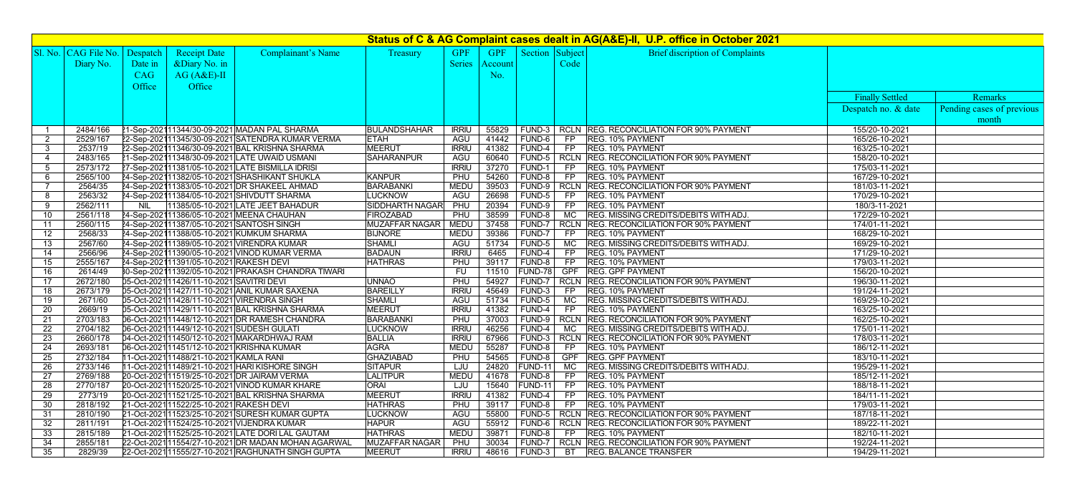| Status of C & AG Complaint cases dealt in AG(A&E)-II, U.P. office in October 2021 |                                   |            |                                            |                                                     |                       |               |         |                                         |            |                                                 |                        |                           |
|-----------------------------------------------------------------------------------|-----------------------------------|------------|--------------------------------------------|-----------------------------------------------------|-----------------------|---------------|---------|-----------------------------------------|------------|-------------------------------------------------|------------------------|---------------------------|
|                                                                                   | Sl. No.   CAG File No.   Despatch |            | <b>Receipt Date</b>                        | Complainant's Name                                  | <b>Treasury</b>       | GPF           | GPF     | $\vert$ Section $\vert$ Subject $\vert$ |            | <b>Brief discription of Complaints</b>          |                        |                           |
|                                                                                   | Diary No.                         | Date in    | &Diary No. in                              |                                                     |                       | <b>Series</b> | Account |                                         | Code       |                                                 |                        |                           |
|                                                                                   |                                   | CAG        | $AG(A&E)$ -II                              |                                                     |                       |               | No.     |                                         |            |                                                 |                        |                           |
|                                                                                   |                                   |            |                                            |                                                     |                       |               |         |                                         |            |                                                 |                        |                           |
|                                                                                   |                                   | Office     | Office                                     |                                                     |                       |               |         |                                         |            |                                                 |                        |                           |
|                                                                                   |                                   |            |                                            |                                                     |                       |               |         |                                         |            |                                                 | <b>Finally Settled</b> | <b>Remarks</b>            |
|                                                                                   |                                   |            |                                            |                                                     |                       |               |         |                                         |            |                                                 | Despatch no. & date    | Pending cases of previous |
|                                                                                   |                                   |            |                                            |                                                     |                       |               |         |                                         |            |                                                 |                        | month                     |
|                                                                                   | 2484/166                          |            |                                            | 21-Sep-202111344/30-09-2021 MADAN PAL SHARMA        | BULANDSHAHAR          | <b>IRRIU</b>  | 55829   | FUND-3                                  |            | RCLN   REG. RECONCILIATION FOR 90% PAYMENT      | 155/20-10-2021         |                           |
| $\overline{2}$                                                                    | 2529/167                          |            |                                            | 22-Sep-202111345/30-09-2021 SATENDRA KUMAR VERMA    | <b>ETAH</b>           | <b>AGU</b>    | 41442   | $\mid$ FUND-6 $\mid$                    | <b>FP</b>  | <b>REG. 10% PAYMENT</b>                         | 165/26-10-2021         |                           |
| $\mathbf{3}$                                                                      | 2537/19                           |            |                                            | 22-Sep-202111346/30-09-2021 BAL KRISHNA SHARMA      | <b>IMEERUT</b>        | <b>IRRIU</b>  | 41382   | FUND-4                                  | FP         | <b>REG. 10% PAYMENT</b>                         | 163/25-10-2021         |                           |
|                                                                                   | 2483/165                          |            |                                            | 21-Sep-202111348/30-09-2021 LATE UWAID USMANI       | <b>SAHARANPUR</b>     | <b>AGU</b>    | 60640   | FUND-5                                  |            | <b>RCLN REG. RECONCILIATION FOR 90% PAYMENT</b> | 158/20-10-2021         |                           |
| 5                                                                                 | 2573/172                          |            |                                            | 27-Sep-202111381/05-10-2021 LATE BISMILLA IDRISI    |                       | <b>IRRIU</b>  | 37270   | <b>FUND-1</b>                           | <b>FP</b>  | <b>REG. 10% PAYMENT</b>                         | 175/03-11-2021         |                           |
| 6                                                                                 | 2565/100                          |            |                                            | 24-Sep-202111382/05-10-2021 SHASHIKANT SHUKLA       | <b>KANPUR</b>         | <b>PHU</b>    | 54260   | <b>FUND-8</b>                           | <b>FP</b>  | <b>REG. 10% PAYMENT</b>                         | 167/29-10-2021         |                           |
|                                                                                   | 2564/35                           |            |                                            | 24-Sep-202111383/05-10-2021 DR SHAKEEL AHMAD        | <b>BARABANKI</b>      | <b>MEDU</b>   | 39503   | <b>FUND-9</b>                           |            | <b>RCLN REG. RECONCILIATION FOR 90% PAYMENT</b> | 181/03-11-2021         |                           |
| 8                                                                                 | 2563/32                           |            |                                            | 24-Sep-202111384/05-10-2021 SHIVDUTT SHARMA         | <b>LUCKNOW</b>        | AGU           | 26698   | FUND-5                                  | FP         | <b>REG. 10% PAYMENT</b>                         | 170/29-10-2021         |                           |
| 9                                                                                 | 2562/111                          | <b>NIL</b> |                                            | 11385/05-10-2021 LATE JEET BAHADUR                  | SIDDHARTH NAGAR       | <b>PHU</b>    | 20394   | FUND-9                                  | FP         | <b>REG. 10% PAYMENT</b>                         | 180/3-11-2021          |                           |
| 10 <sup>°</sup>                                                                   | 2561/118                          |            |                                            | 24-Sep-202111386/05-10-2021 MEENA CHAUHAN           | <b>FIROZABAD</b>      | <b>PHU</b>    | 38599   | <b>FUND-8</b>                           | MC .       | <b>REG. MISSING CREDITS/DEBITS WITH ADJ.</b>    | 172/29-10-2021         |                           |
| 11                                                                                | 2560/115                          |            | 24-Sep-202111387/05-10-2021 SANTOSH SINGH  |                                                     | <b>MUZAFFAR NAGAR</b> | MEDU          | 37458   | FUND-7                                  |            | <b>RCLN REG. RECONCILIATION FOR 90% PAYMENT</b> | 174/01-11-2021         |                           |
| 12 <sup>2</sup>                                                                   | 2568/33                           |            |                                            | 24-Sep-202111388/05-10-2021 KUMKUM SHARMA           | <b>BIJNORE</b>        | <b>MEDU</b>   | 39386   | FUND-7                                  | FP         | <b>REG. 10% PAYMENT</b>                         | 168/29-10-2021         |                           |
| 13                                                                                | 2567/60                           |            |                                            | 24-Sep-202111389/05-10-2021 VIRENDRA KUMAR          | SHAMLI                | <b>AGU</b>    | 51734   | FUND-5                                  |            | MC REG. MISSING CREDITS/DEBITS WITH ADJ.        | 169/29-10-2021         |                           |
| 14                                                                                | 2566/96                           |            |                                            | 24-Sep-202111390/05-10-2021 VINOD KUMAR VERMA       | <b>BADAUN</b>         | <b>IRRIU</b>  | 6465    | <b>FUND-4</b>                           |            | <b>REG. 10% PAYMENT</b>                         | 171/29-10-2021         |                           |
| 15                                                                                | 2555/167                          |            | 24-Sep-202111391/05-10-2021 RAKESH DEVI    |                                                     | <b>HATHRAS</b>        | PHU           | 39117   | <b>FUND-8</b>                           | FP         | <b>REG. 10% PAYMENT</b>                         | 179/03-11-2021         |                           |
| 16                                                                                | 2614/49                           |            |                                            | BO-Sep-202111392/05-10-2021 PRAKASH CHANDRA TIWARI  |                       | FU            | 11510   | $ FUND-78 $                             | <b>GPF</b> | <b>REG. GPF PAYMENT</b>                         | 156/20-10-2021         |                           |
| 17                                                                                | 2672/180                          |            | 05-Oct-2021 11426/11-10-2021 SAVITRI DEVI  |                                                     | <b>UNNAO</b>          | PHU           | 54927   | <b>FUND-7</b>                           |            | <b>RCLN REG. RECONCILIATION FOR 90% PAYMENT</b> | 196/30-11-2021         |                           |
| 18                                                                                | 2673/179                          |            |                                            | 05-Oct-2021 11427/11-10-2021 ANIL KUMAR SAXENA      | <b>BAREILLY</b>       | <b>IRRIU</b>  | 45649   | FUND-3                                  | <b>FP</b>  | <b>REG. 10% PAYMENT</b>                         | 191/24-11-2021         |                           |
| 19                                                                                | 2671/60                           |            |                                            | 05-Oct-2021 11428/11-10-2021 VIRENDRA SINGH         | <b>SHAMLI</b>         | AGU           | 51734   | $FUND-5$                                |            | MC REG. MISSING CREDITS/DEBITS WITH ADJ.        | 169/29-10-2021         |                           |
| 20                                                                                | 2669/19                           |            |                                            | 05-Oct-2021 11429/11-10-2021 BAL KRISHNA SHARMA     | <b>MEERUT</b>         | $IRRIU$       |         |                                         |            | 41382   FUND-4   FP   REG. 10% PAYMENT          | 163/25-10-2021         |                           |
| 21                                                                                | 2703/183                          |            |                                            | 06-Oct-2021 11448/12-10-2021 DR RAMESH CHANDRA      | BARABANKI             | PHU           |         | 37003   FUND-9                          |            | RCLN REG. RECONCILIATION FOR 90% PAYMENT        | 162/25-10-2021         |                           |
| 22                                                                                | 2704/182                          |            | 06-Oct-2021 11449/12-10-2021 SUDESH GULATI |                                                     | <b>LUCKNOW</b>        | <b>IRRIU</b>  | 46256   | $\mid$ FUND-4                           |            | MC REG. MISSING CREDITS/DEBITS WITH ADJ.        | 175/01-11-2021         |                           |
| 23                                                                                | 2660/178                          |            |                                            | 04-Oct-2021 11450/12-10-2021 MAKARDHWAJ RAM         | <b>BALLIA</b>         | <b>IRRIL</b>  | 67966   | $ $ FUND-3 $ $                          |            | <b>RCLN REG. RECONCILIATION FOR 90% PAYMENT</b> | 178/03-11-2021         |                           |
| 24                                                                                | 2693/181                          |            |                                            | 06-Oct-2021 11451/12-10-2021 KRISHNA KUMAR          | AGRA                  | <b>MEDU</b>   | 55287   | FUND-8                                  | FP         | <b>REG. 10% PAYMENT</b>                         | 186/12-11-2021         |                           |
| 25                                                                                | 2732/184                          |            | 11-Oct-2021 11488/21-10-2021 KAMLA RANI    |                                                     | GHAZIABAD             | PHU           | 54565   | FUND-8                                  |            | GPF   REG. GPF PAYMENT                          | 183/10-11-2021         |                           |
| 26                                                                                | 2733/146                          |            |                                            | 11-Oct-2021 11489/21-10-2021 HARI KISHORE SINGH     | <b>SITAPUR</b>        | LJU           | 24820   | $ FUND-11 $                             |            | MC REG. MISSING CREDITS/DEBITS WITH ADJ.        | 195/29-11-2021         |                           |
| 27                                                                                | 2769/188                          |            |                                            | 20-Oct-2021 11519/25-10-2021 DR JAIRAM VERMA        | <b>LALITPUR</b>       | <b>MEDU</b>   | 41678   | $\mid$ FUND-8                           |            | <b>REG. 10% PAYMENT</b>                         | 185/12-11-2021         |                           |
| 28                                                                                | 2770/187                          |            |                                            | 20-Oct-2021 11520/25-10-2021 VINOD KUMAR KHARE      | ORAI                  | LJU           | 15640   | $ FUND-11 $                             | FP         | <b>REG. 10% PAYMENT</b>                         | 188/18-11-2021         |                           |
| 29                                                                                | 2773/19                           |            |                                            | 20-Oct-2021 11521/25-10-2021 BAL KRISHNA SHARMA     | <b>MEERUT</b>         | <b>IRRIU</b>  | 41382   | FUND-4                                  |            | <b>REG. 10% PAYMENT</b>                         | 184/11-11-2021         |                           |
| 30                                                                                | 2818/192                          |            | 21-Oct-2021 11522/25-10-2021 RAKESH DEVI   |                                                     | <b>HATHRAS</b>        | <b>PHU</b>    | 39117   | FUND-8                                  | <b>FP</b>  | <b>REG. 10% PAYMENT</b>                         | 179/03-11-2021         |                           |
| 31                                                                                | 2810/190                          |            |                                            | 21-Oct-202111523/25-10-2021 SURESH KUMAR GUPTA      | <b>LUCKNOW</b>        | AGU           | 55800   | FUND-5                                  |            | <b>RCLN REG. RECONCILIATION FOR 90% PAYMENT</b> | 187/18-11-2021         |                           |
| 32                                                                                | 2811/191                          |            |                                            | 21-Oct-2021 11524/25-10-2021 VIJENDRA KUMAR         | <b>HAPUR</b>          | AGU           | 55912   | FUND-6                                  |            | <b>RCLN REG. RECONCILIATION FOR 90% PAYMENT</b> | 189/22-11-2021         |                           |
| 33                                                                                | 2815/189                          |            |                                            | 21-Oct-202111525/25-10-2021 LATE DORI LAL GAUTAM    | <b>HATHRAS</b>        | <b>MEDU</b>   | 39871   | FUND-8                                  | FP.        | <b>REG. 10% PAYMENT</b>                         | 182/10-11-2021         |                           |
| 34                                                                                | 2855/181                          |            |                                            | 22-Oct-2021 11554/27-10-2021 DR MADAN MOHAN AGARWAL | <b>MUZAFFAR NAGAR</b> | PHU           | 30034   | FUND-7                                  |            | RCLN REG. RECONCILIATION FOR 90% PAYMENT        | 192/24-11-2021         |                           |
| 35                                                                                | 2829/39                           |            |                                            | 22-Oct-2021 11555/27-10-2021 RAGHUNATH SINGH GUPTA  | <b>MEERUT</b>         | <b>IRRIU</b>  |         | 48616   FUND-3                          | BT         | <b>REG. BALANCE TRANSFER</b>                    | 194/29-11-2021         |                           |